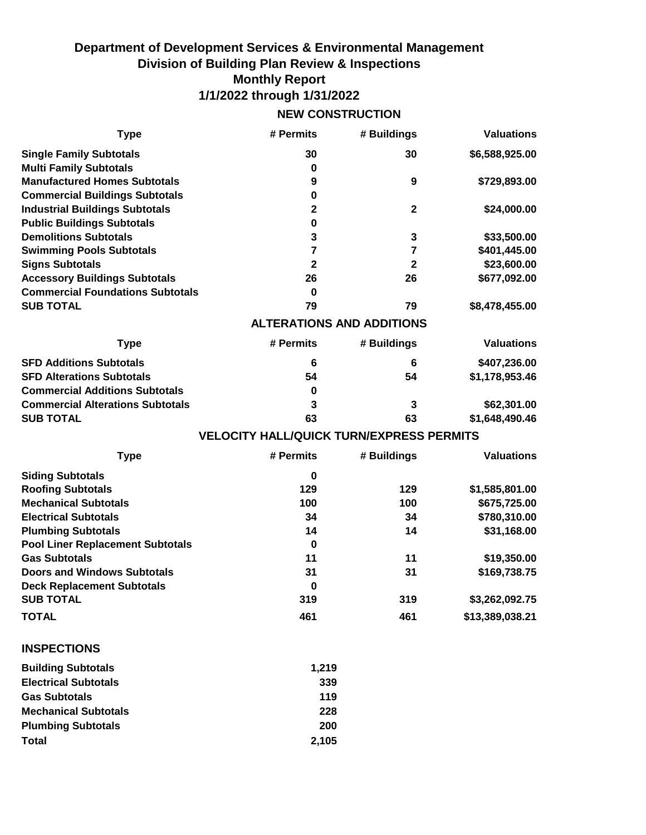## **Department of Development Services & Environmental Management Division of Building Plan Review & Inspections Monthly Report 1/1/2022 through 1/31/2022**

## **NEW CONSTRUCTION**

| <b>Type</b>                             | # Permits                                       | # Buildings      | <b>Valuations</b> |
|-----------------------------------------|-------------------------------------------------|------------------|-------------------|
| <b>Single Family Subtotals</b>          | 30                                              | 30               | \$6,588,925.00    |
| <b>Multi Family Subtotals</b>           | 0                                               |                  |                   |
| <b>Manufactured Homes Subtotals</b>     | 9                                               | $\boldsymbol{9}$ | \$729,893.00      |
| <b>Commercial Buildings Subtotals</b>   | 0                                               |                  |                   |
| <b>Industrial Buildings Subtotals</b>   | $\mathbf{2}$                                    | $\mathbf{2}$     | \$24,000.00       |
| <b>Public Buildings Subtotals</b>       | 0                                               |                  |                   |
| <b>Demolitions Subtotals</b>            | 3                                               | 3                | \$33,500.00       |
| <b>Swimming Pools Subtotals</b>         | $\overline{7}$                                  | 7                | \$401,445.00      |
| <b>Signs Subtotals</b>                  | $\mathbf{2}$                                    | $\mathbf{2}$     | \$23,600.00       |
| <b>Accessory Buildings Subtotals</b>    | 26                                              | 26               | \$677,092.00      |
| <b>Commercial Foundations Subtotals</b> | 0                                               |                  |                   |
| <b>SUB TOTAL</b>                        | 79                                              | 79               | \$8,478,455.00    |
|                                         | <b>ALTERATIONS AND ADDITIONS</b>                |                  |                   |
| <b>Type</b>                             | # Permits                                       | # Buildings      | <b>Valuations</b> |
| <b>SFD Additions Subtotals</b>          | 6                                               | 6                | \$407,236.00      |
| <b>SFD Alterations Subtotals</b>        | 54                                              | 54               | \$1,178,953.46    |
| <b>Commercial Additions Subtotals</b>   | 0                                               |                  |                   |
| <b>Commercial Alterations Subtotals</b> | 3                                               | 3                | \$62,301.00       |
| <b>SUB TOTAL</b>                        | 63                                              | 63               | \$1,648,490.46    |
|                                         | <b>VELOCITY HALL/QUICK TURN/EXPRESS PERMITS</b> |                  |                   |
| <b>Type</b>                             | # Permits                                       | # Buildings      | <b>Valuations</b> |
| <b>Siding Subtotals</b>                 | 0                                               |                  |                   |
| <b>Roofing Subtotals</b>                | 129                                             | 129              | \$1,585,801.00    |
| <b>Mechanical Subtotals</b>             | 100                                             | 100              | \$675,725.00      |
| <b>Electrical Subtotals</b>             | 34                                              | 34               | \$780,310.00      |
| <b>Plumbing Subtotals</b>               | 14                                              | 14               | \$31,168.00       |
| <b>Pool Liner Replacement Subtotals</b> | 0                                               |                  |                   |
| <b>Gas Subtotals</b>                    | 11                                              | 11               | \$19,350.00       |
| <b>Doors and Windows Subtotals</b>      | 31                                              | 31               | \$169,738.75      |
| <b>Deck Replacement Subtotals</b>       | 0                                               |                  |                   |
| <b>SUB TOTAL</b>                        | 319                                             | 319              | \$3,262,092.75    |
| <b>TOTAL</b>                            | 461                                             | 461              | \$13,389,038.21   |
| <b>INSPECTIONS</b>                      |                                                 |                  |                   |
| <b>Building Subtotals</b>               | 1,219                                           |                  |                   |
| <b>Electrical Subtotals</b>             | 339                                             |                  |                   |
| <b>Gas Subtotals</b>                    | 119                                             |                  |                   |
| <b>Mechanical Subtotals</b>             | 228                                             |                  |                   |
|                                         |                                                 |                  |                   |
| <b>Plumbing Subtotals</b>               | 200                                             |                  |                   |
| <b>Total</b>                            | 2,105                                           |                  |                   |